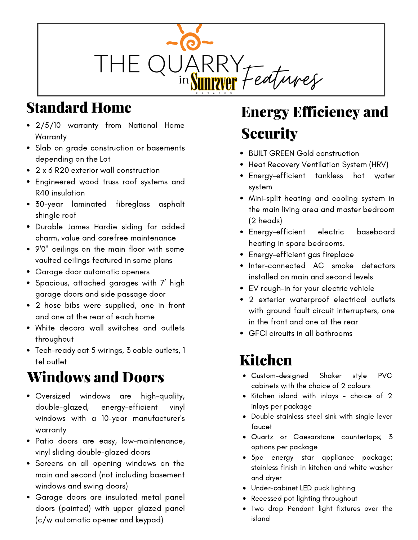

## Standard Home

- 2/5/10 warranty from National Home **Warranty**
- Slab on grade construction or basements depending on the Lot
- 2 x 6 R20 exterior wall construction
- Engineered wood truss roof systems and R40 insulation
- 30-year laminated fibreglass asphalt shingle roof
- Durable James Hardie siding for added charm, value and carefree maintenance
- 9'0" ceilings on the main floor with some vaulted ceilings featured in some plans
- Garage door automatic openers
- Spacious, attached garages with 7' high garage doors and side passage door
- 2 hose bibs were supplied, one in front and one at the rear of each home
- White decora wall switches and outlets throughout
- Tech-ready cat 5 wirings, 3 cable outlets, 1 tel outlet

## Windows and Doors

- Oversized windows are high-quality, double-glazed, energy-efficient vinyl windows with a 10-year manufacturer's warranty
- Patio doors are easy, low-maintenance, vinyl sliding double-glazed doors
- Screens on all opening windows on the main and second (not including basement windows and swing doors)
- Garage doors are insulated metal panel doors (painted) with upper glazed panel (c/w automatic opener and keypad)

# Energy Efficiency and **Security**

- BUILT GREEN Gold construction
- Heat Recovery Ventilation System (HRV)
- Energy-efficient tankless hot water system
- Mini-split heating and cooling system in the main living area and master bedroom (2 heads)
- Energy-efficient electric baseboard heating in spare bedrooms.
- Energy-efficient gas fireplace
- Inter-connected AC smoke detectors installed on main and second levels
- EV rough-in for your electric vehicle
- 2 exterior waterproof electrical outlets with ground fault circuit interrupters, one in the front and one at the rear
- GFCI circuits in all bathrooms

#### Kitchen

- Custom-designed Shaker style PVC cabinets with the choice of 2 colours
- Kitchen island with inlays choice of 2 inlays per package
- Double stainless-steel sink with single lever faucet
- Quartz or Caesarstone countertops; 3 options per package
- 5pc energy star appliance package; stainless finish in kitchen and white washer and dryer
- Under-cabinet LED puck lighting
- Recessed pot lighting throughout
- Two drop Pendant light fixtures over the island